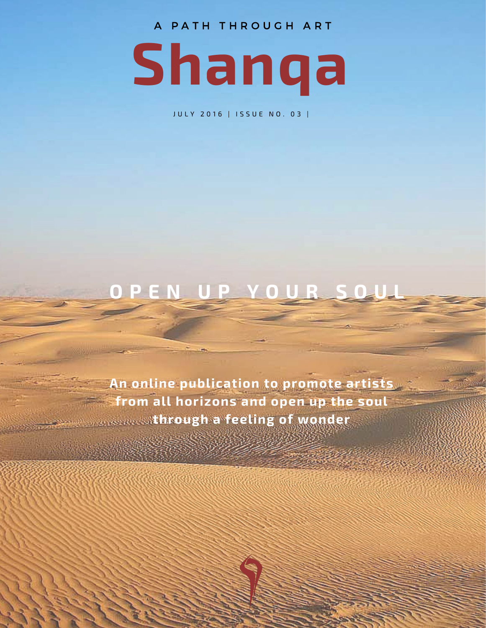A PATH THROUGH ART



J U L Y 2016 | ISSUE NO. 03 |

### **O P E N U P Y O U R S O U L**

**An online publication to promote artists from all horizons and open up the soul through a feeling of wonder**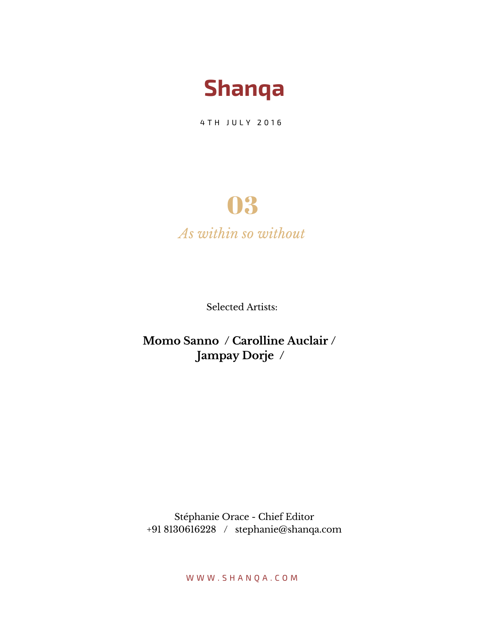

4 T H J U L Y 2016

## 03

*As within so without*

Selected Artists:

**Momo Sanno / Carolline Auclair / Jampay Dorje /**

Stéphanie Orace - Chief Editor +91 8130616228 / stephanie@shanqa.com

W W W . S H A N Q A . C O M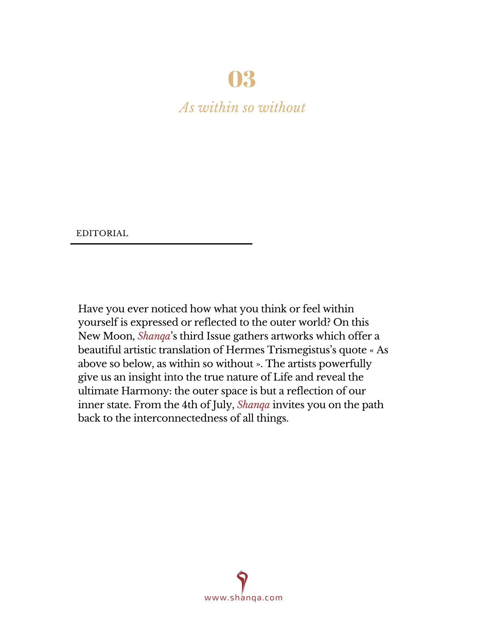### 03

*As within so without*

EDITORIAL

Have you ever noticed how what you think or feel within yourself is expressed or reflected to the outer world? On this New Moon, *Shanqa*'s third Issue gathers artworks which offer a beautiful artistic translation of Hermes Trismegistus's quote « As above so below, as within so without ». The artists powerfully give us an insight into the true nature of Life and reveal the ultimate Harmony: the outer space is but a reflection of our inner state. From the 4th of July, *Shanqa* invites you on the path back to the interconnectedness of all things.